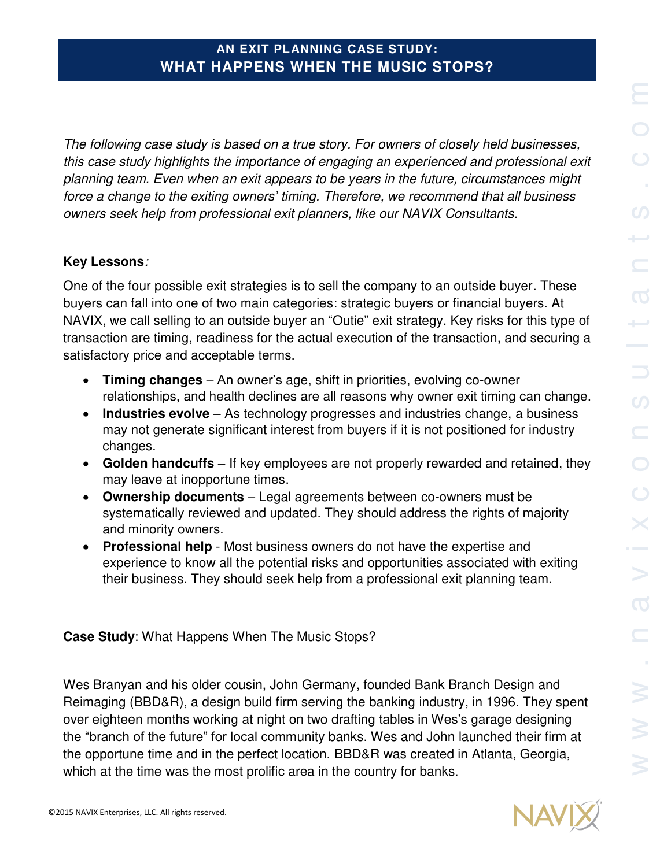*The following case study is based on a true story. For owners of closely held businesses, this case study highlights the importance of engaging an experienced and professional exit planning team. Even when an exit appears to be years in the future, circumstances might force a change to the exiting owners' timing. Therefore, we recommend that all business owners seek help from professional exit planners, like our NAVIX Consultants.* 

## **Key Lessons***:*

One of the four possible exit strategies is to sell the company to an outside buyer. These buyers can fall into one of two main categories: strategic buyers or financial buyers. At NAVIX, we call selling to an outside buyer an "Outie" exit strategy. Key risks for this type of transaction are timing, readiness for the actual execution of the transaction, and securing a satisfactory price and acceptable terms.

- **Timing changes** An owner's age, shift in priorities, evolving co-owner relationships, and health declines are all reasons why owner exit timing can change.
- **Industries evolve** As technology progresses and industries change, a business may not generate significant interest from buyers if it is not positioned for industry changes.
- **Golden handcuffs** If key employees are not properly rewarded and retained, they may leave at inopportune times.
- **Ownership documents** Legal agreements between co-owners must be systematically reviewed and updated. They should address the rights of majority and minority owners.
- **Professional help** Most business owners do not have the expertise and experience to know all the potential risks and opportunities associated with exiting their business. They should seek help from a professional exit planning team.

**Case Study**: What Happens When The Music Stops?

Wes Branyan and his older cousin, John Germany, founded Bank Branch Design and Reimaging (BBD&R), a design build firm serving the banking industry, in 1996. They spent over eighteen months working at night on two drafting tables in Wes's garage designing the "branch of the future" for local community banks. Wes and John launched their firm at the opportune time and in the perfect location. BBD&R was created in Atlanta, Georgia, which at the time was the most prolific area in the country for banks.

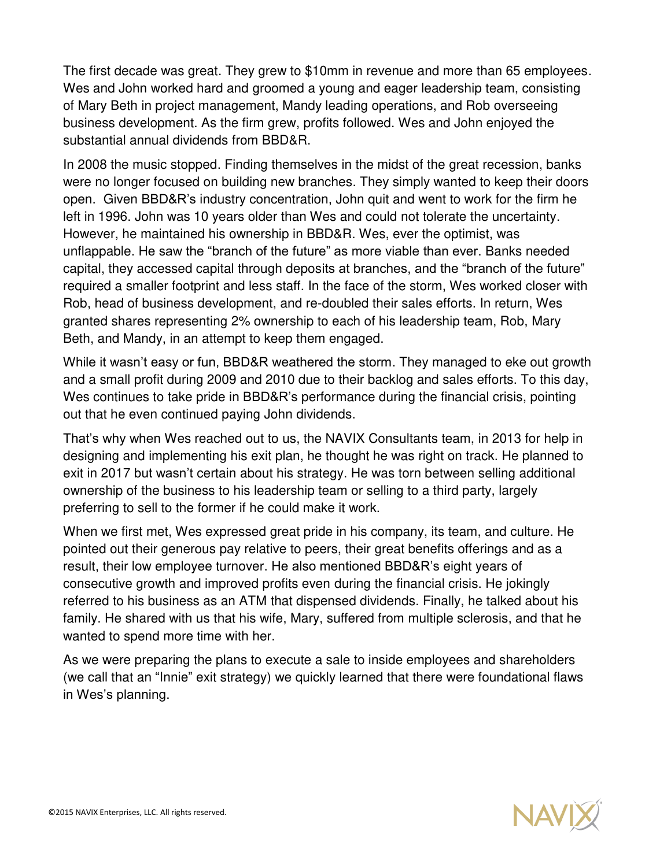The first decade was great. They grew to \$10mm in revenue and more than 65 employees. Wes and John worked hard and groomed a young and eager leadership team, consisting of Mary Beth in project management, Mandy leading operations, and Rob overseeing business development. As the firm grew, profits followed. Wes and John enjoyed the substantial annual dividends from BBD&R.

In 2008 the music stopped. Finding themselves in the midst of the great recession, banks were no longer focused on building new branches. They simply wanted to keep their doors open. Given BBD&R's industry concentration, John quit and went to work for the firm he left in 1996. John was 10 years older than Wes and could not tolerate the uncertainty. However, he maintained his ownership in BBD&R. Wes, ever the optimist, was unflappable. He saw the "branch of the future" as more viable than ever. Banks needed capital, they accessed capital through deposits at branches, and the "branch of the future" required a smaller footprint and less staff. In the face of the storm, Wes worked closer with Rob, head of business development, and re-doubled their sales efforts. In return, Wes granted shares representing 2% ownership to each of his leadership team, Rob, Mary Beth, and Mandy, in an attempt to keep them engaged.

While it wasn't easy or fun, BBD&R weathered the storm. They managed to eke out growth and a small profit during 2009 and 2010 due to their backlog and sales efforts. To this day, Wes continues to take pride in BBD&R's performance during the financial crisis, pointing out that he even continued paying John dividends.

That's why when Wes reached out to us, the NAVIX Consultants team, in 2013 for help in designing and implementing his exit plan, he thought he was right on track. He planned to exit in 2017 but wasn't certain about his strategy. He was torn between selling additional ownership of the business to his leadership team or selling to a third party, largely preferring to sell to the former if he could make it work.

When we first met, Wes expressed great pride in his company, its team, and culture. He pointed out their generous pay relative to peers, their great benefits offerings and as a result, their low employee turnover. He also mentioned BBD&R's eight years of consecutive growth and improved profits even during the financial crisis. He jokingly referred to his business as an ATM that dispensed dividends. Finally, he talked about his family. He shared with us that his wife, Mary, suffered from multiple sclerosis, and that he wanted to spend more time with her.

As we were preparing the plans to execute a sale to inside employees and shareholders (we call that an "Innie" exit strategy) we quickly learned that there were foundational flaws in Wes's planning.

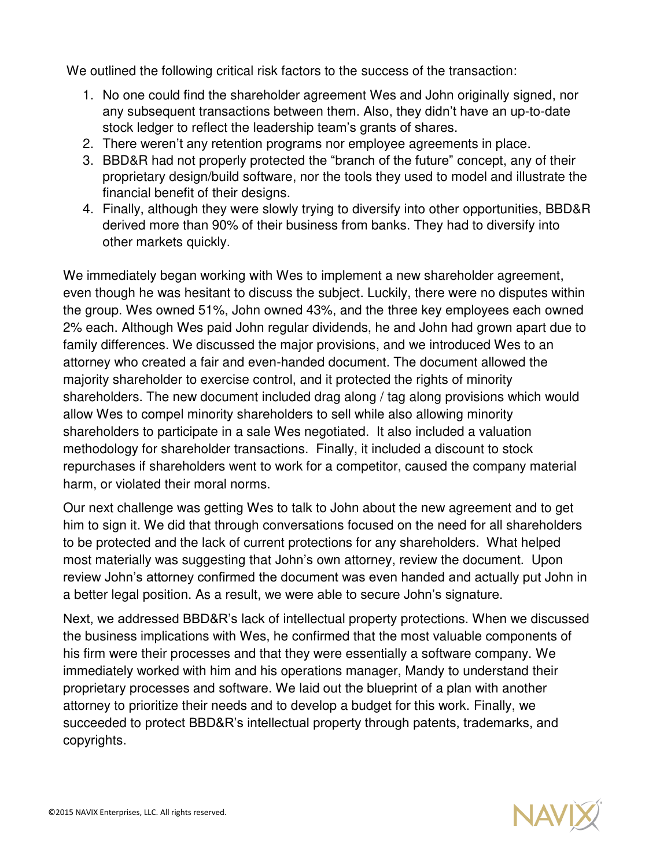We outlined the following critical risk factors to the success of the transaction:

- 1. No one could find the shareholder agreement Wes and John originally signed, nor any subsequent transactions between them. Also, they didn't have an up-to-date stock ledger to reflect the leadership team's grants of shares.
- 2. There weren't any retention programs nor employee agreements in place.
- 3. BBD&R had not properly protected the "branch of the future" concept, any of their proprietary design/build software, nor the tools they used to model and illustrate the financial benefit of their designs.
- 4. Finally, although they were slowly trying to diversify into other opportunities, BBD&R derived more than 90% of their business from banks. They had to diversify into other markets quickly.

We immediately began working with Wes to implement a new shareholder agreement, even though he was hesitant to discuss the subject. Luckily, there were no disputes within the group. Wes owned 51%, John owned 43%, and the three key employees each owned 2% each. Although Wes paid John regular dividends, he and John had grown apart due to family differences. We discussed the major provisions, and we introduced Wes to an attorney who created a fair and even-handed document. The document allowed the majority shareholder to exercise control, and it protected the rights of minority shareholders. The new document included drag along / tag along provisions which would allow Wes to compel minority shareholders to sell while also allowing minority shareholders to participate in a sale Wes negotiated. It also included a valuation methodology for shareholder transactions. Finally, it included a discount to stock repurchases if shareholders went to work for a competitor, caused the company material harm, or violated their moral norms.

Our next challenge was getting Wes to talk to John about the new agreement and to get him to sign it. We did that through conversations focused on the need for all shareholders to be protected and the lack of current protections for any shareholders. What helped most materially was suggesting that John's own attorney, review the document. Upon review John's attorney confirmed the document was even handed and actually put John in a better legal position. As a result, we were able to secure John's signature.

Next, we addressed BBD&R's lack of intellectual property protections. When we discussed the business implications with Wes, he confirmed that the most valuable components of his firm were their processes and that they were essentially a software company. We immediately worked with him and his operations manager, Mandy to understand their proprietary processes and software. We laid out the blueprint of a plan with another attorney to prioritize their needs and to develop a budget for this work. Finally, we succeeded to protect BBD&R's intellectual property through patents, trademarks, and copyrights.

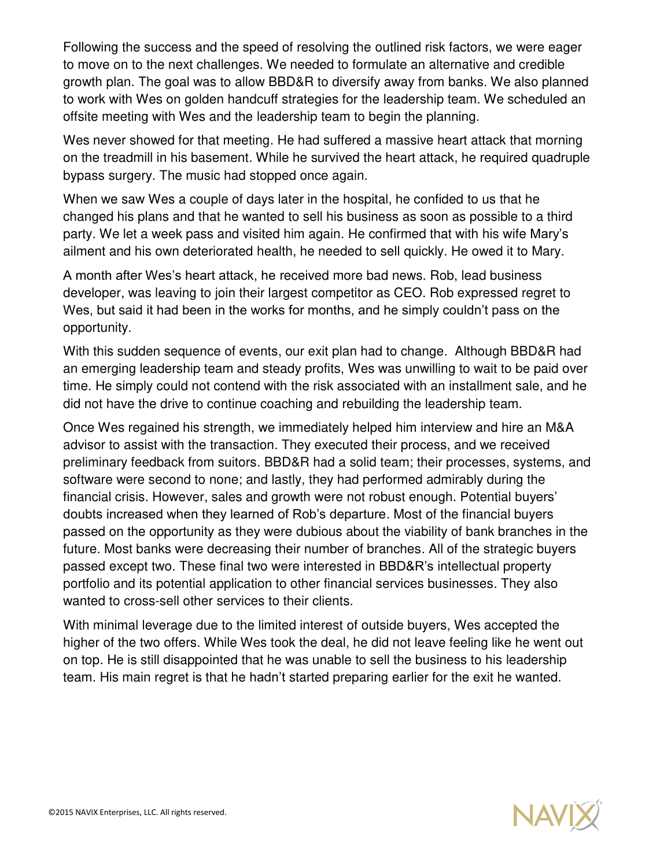Following the success and the speed of resolving the outlined risk factors, we were eager to move on to the next challenges. We needed to formulate an alternative and credible growth plan. The goal was to allow BBD&R to diversify away from banks. We also planned to work with Wes on golden handcuff strategies for the leadership team. We scheduled an offsite meeting with Wes and the leadership team to begin the planning.

Wes never showed for that meeting. He had suffered a massive heart attack that morning on the treadmill in his basement. While he survived the heart attack, he required quadruple bypass surgery. The music had stopped once again.

When we saw Wes a couple of days later in the hospital, he confided to us that he changed his plans and that he wanted to sell his business as soon as possible to a third party. We let a week pass and visited him again. He confirmed that with his wife Mary's ailment and his own deteriorated health, he needed to sell quickly. He owed it to Mary.

A month after Wes's heart attack, he received more bad news. Rob, lead business developer, was leaving to join their largest competitor as CEO. Rob expressed regret to Wes, but said it had been in the works for months, and he simply couldn't pass on the opportunity.

With this sudden sequence of events, our exit plan had to change. Although BBD&R had an emerging leadership team and steady profits, Wes was unwilling to wait to be paid over time. He simply could not contend with the risk associated with an installment sale, and he did not have the drive to continue coaching and rebuilding the leadership team.

Once Wes regained his strength, we immediately helped him interview and hire an M&A advisor to assist with the transaction. They executed their process, and we received preliminary feedback from suitors. BBD&R had a solid team; their processes, systems, and software were second to none; and lastly, they had performed admirably during the financial crisis. However, sales and growth were not robust enough. Potential buyers' doubts increased when they learned of Rob's departure. Most of the financial buyers passed on the opportunity as they were dubious about the viability of bank branches in the future. Most banks were decreasing their number of branches. All of the strategic buyers passed except two. These final two were interested in BBD&R's intellectual property portfolio and its potential application to other financial services businesses. They also wanted to cross-sell other services to their clients.

With minimal leverage due to the limited interest of outside buyers, Wes accepted the higher of the two offers. While Wes took the deal, he did not leave feeling like he went out on top. He is still disappointed that he was unable to sell the business to his leadership team. His main regret is that he hadn't started preparing earlier for the exit he wanted.